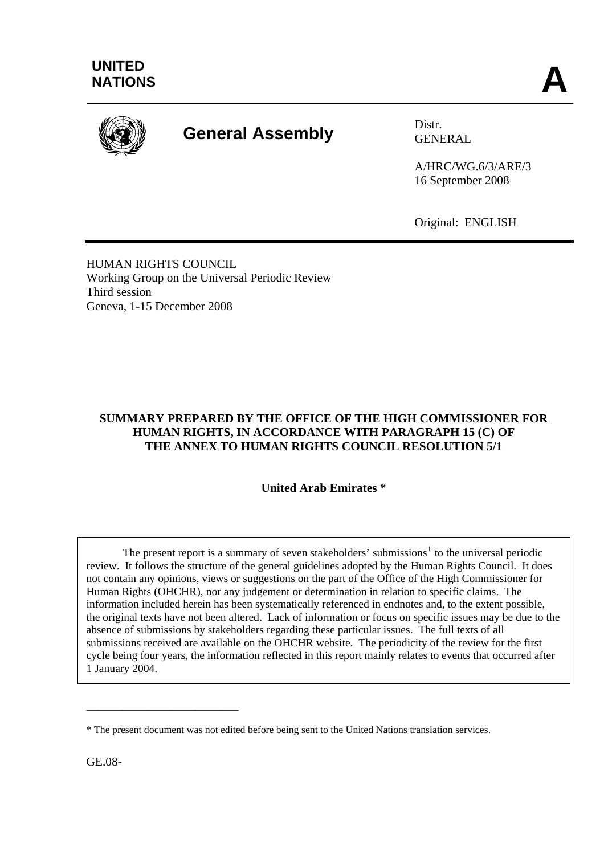

# **General Assembly** Distr.

GENERAL

A/HRC/WG.6/3/ARE/3 16 September 2008

Original: ENGLISH

HUMAN RIGHTS COUNCIL Working Group on the Universal Periodic Review Third session Geneva, 1-15 December 2008

# **SUMMARY PREPARED BY THE OFFICE OF THE HIGH COMMISSIONER FOR HUMAN RIGHTS, IN ACCORDANCE WITH PARAGRAPH 15 (C) OF THE ANNEX TO HUMAN RIGHTS COUNCIL RESOLUTION 5/1**

**United Arab Emirates \*** 

The present report is a summary of seven stakeholders' submissions<sup>[1](#page-11-0)</sup> to the universal periodic review. It follows the structure of the general guidelines adopted by the Human Rights Council. It does not contain any opinions, views or suggestions on the part of the Office of the High Commissioner for Human Rights (OHCHR), nor any judgement or determination in relation to specific claims. The information included herein has been systematically referenced in endnotes and, to the extent possible, the original texts have not been altered. Lack of information or focus on specific issues may be due to the absence of submissions by stakeholders regarding these particular issues. The full texts of all submissions received are available on the OHCHR website. The periodicity of the review for the first cycle being four years, the information reflected in this report mainly relates to events that occurred after 1 January 2004.

GE.08-

\_\_\_\_\_\_\_\_\_\_\_\_\_\_\_\_\_\_\_\_\_\_\_\_\_

<sup>\*</sup> The present document was not edited before being sent to the United Nations translation services.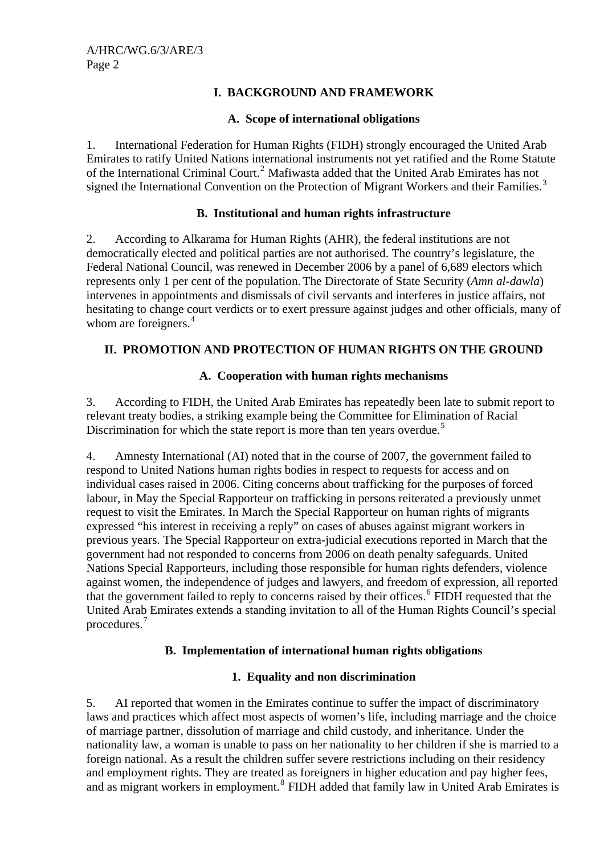# **I. BACKGROUND AND FRAMEWORK**

### **A. Scope of international obligations**

1. International Federation for Human Rights (FIDH) strongly encouraged the United Arab Emirates to ratify United Nations international instruments not yet ratified and the Rome Statute of the International Criminal Court.<sup>[2](#page-11-1)</sup> Mafiwasta added that the United Arab Emirates has not signed the International Convention on the Protection of Migrant Workers and their Families.<sup>[3](#page-11-1)</sup>

## **B. Institutional and human rights infrastructure**

2. According to Alkarama for Human Rights (AHR), the federal institutions are not democratically elected and political parties are not authorised. The country's legislature, the Federal National Council, was renewed in December 2006 by a panel of 6,689 electors which represents only 1 per cent of the population. The Directorate of State Security (*Amn al-dawla*) intervenes in appointments and dismissals of civil servants and interferes in justice affairs, not hesitating to change court verdicts or to exert pressure against judges and other officials, many of whom are foreigners.<sup>[4](#page-11-1)</sup>

# **II. PROMOTION AND PROTECTION OF HUMAN RIGHTS ON THE GROUND**

## **A. Cooperation with human rights mechanisms**

3. According to FIDH, the United Arab Emirates has repeatedly been late to submit report to relevant treaty bodies, a striking example being the Committee for Elimination of Racial Discrimination for which the state report is more than ten years overdue.<sup>[5](#page-11-1)</sup>

4. Amnesty International (AI) noted that in the course of 2007, the government failed to respond to United Nations human rights bodies in respect to requests for access and on individual cases raised in 2006. Citing concerns about trafficking for the purposes of forced labour, in May the Special Rapporteur on trafficking in persons reiterated a previously unmet request to visit the Emirates. In March the Special Rapporteur on human rights of migrants expressed "his interest in receiving a reply" on cases of abuses against migrant workers in previous years. The Special Rapporteur on extra-judicial executions reported in March that the government had not responded to concerns from 2006 on death penalty safeguards. United Nations Special Rapporteurs, including those responsible for human rights defenders, violence against women, the independence of judges and lawyers, and freedom of expression, all reported that the government failed to reply to concerns raised by their offices.<sup>[6](#page-11-1)</sup> FIDH requested that the United Arab Emirates extends a standing invitation to all of the Human Rights Council's special procedures.[7](#page-11-1)

## **B. Implementation of international human rights obligations**

# **1. Equality and non discrimination**

5. AI reported that women in the Emirates continue to suffer the impact of discriminatory laws and practices which affect most aspects of women's life, including marriage and the choice of marriage partner, dissolution of marriage and child custody, and inheritance. Under the nationality law, a woman is unable to pass on her nationality to her children if she is married to a foreign national. As a result the children suffer severe restrictions including on their residency and employment rights. They are treated as foreigners in higher education and pay higher fees, and as migrant workers in employment.<sup>[8](#page-11-1)</sup> FIDH added that family law in United Arab Emirates is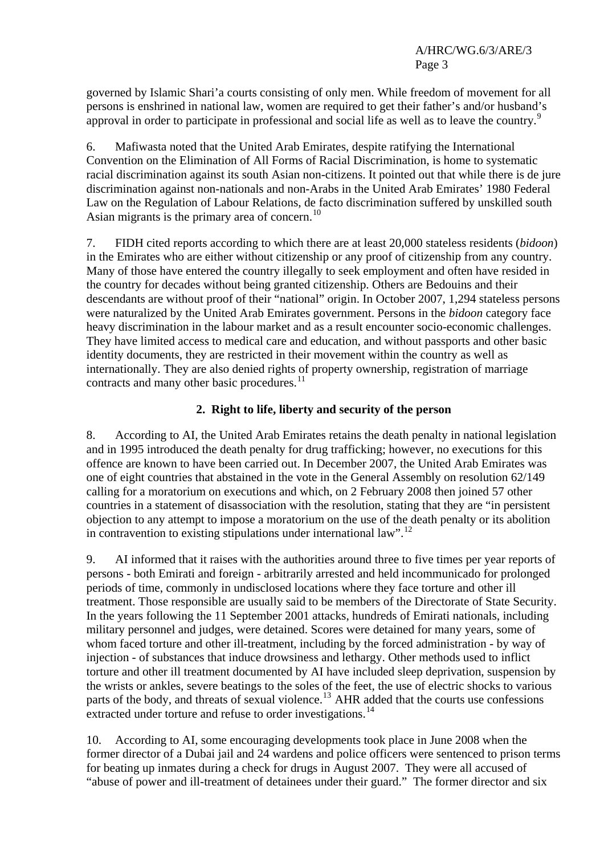governed by Islamic Shari'a courts consisting of only men. While freedom of movement for all persons is enshrined in national law, women are required to get their father's and/or husband's approval in order to participate in professional and social life as well as to leave the country.<sup>[9](#page-11-1)</sup>

6. Mafiwasta noted that the United Arab Emirates, despite ratifying the International Convention on the Elimination of All Forms of Racial Discrimination, is home to systematic racial discrimination against its south Asian non-citizens. It pointed out that while there is de jure discrimination against non-nationals and non-Arabs in the United Arab Emirates' 1980 Federal Law on the Regulation of Labour Relations, de facto discrimination suffered by unskilled south Asian migrants is the primary area of concern.<sup>[10](#page-11-1)</sup>

7. FIDH cited reports according to which there are at least 20,000 stateless residents (*bidoon*) in the Emirates who are either without citizenship or any proof of citizenship from any country. Many of those have entered the country illegally to seek employment and often have resided in the country for decades without being granted citizenship. Others are Bedouins and their descendants are without proof of their "national" origin. In October 2007, 1,294 stateless persons were naturalized by the United Arab Emirates government. Persons in the *bidoon* category face heavy discrimination in the labour market and as a result encounter socio-economic challenges. They have limited access to medical care and education, and without passports and other basic identity documents, they are restricted in their movement within the country as well as internationally. They are also denied rights of property ownership, registration of marriage contracts and many other basic procedures.<sup>[11](#page-11-1)</sup>

# **2. Right to life, liberty and security of the person**

8. According to AI, the United Arab Emirates retains the death penalty in national legislation and in 1995 introduced the death penalty for drug trafficking; however, no executions for this offence are known to have been carried out. In December 2007, the United Arab Emirates was one of eight countries that abstained in the vote in the General Assembly on resolution 62/149 calling for a moratorium on executions and which, on 2 February 2008 then joined 57 other countries in a statement of disassociation with the resolution, stating that they are "in persistent objection to any attempt to impose a moratorium on the use of the death penalty or its abolition in contravention to existing stipulations under international law".<sup>[12](#page-11-1)</sup>

9. AI informed that it raises with the authorities around three to five times per year reports of persons - both Emirati and foreign - arbitrarily arrested and held incommunicado for prolonged periods of time, commonly in undisclosed locations where they face torture and other ill treatment. Those responsible are usually said to be members of the Directorate of State Security. In the years following the 11 September 2001 attacks, hundreds of Emirati nationals, including military personnel and judges, were detained. Scores were detained for many years, some of whom faced torture and other ill-treatment, including by the forced administration - by way of injection - of substances that induce drowsiness and lethargy. Other methods used to inflict torture and other ill treatment documented by AI have included sleep deprivation, suspension by the wrists or ankles, severe beatings to the soles of the feet, the use of electric shocks to various parts of the body, and threats of sexual violence.<sup>[13](#page-11-1)</sup> AHR added that the courts use confessions extracted under torture and refuse to order investigations.<sup>[14](#page-11-1)</sup>

10. According to AI, some encouraging developments took place in June 2008 when the former director of a Dubai jail and 24 wardens and police officers were sentenced to prison terms for beating up inmates during a check for drugs in August 2007. They were all accused of "abuse of power and ill-treatment of detainees under their guard." The former director and six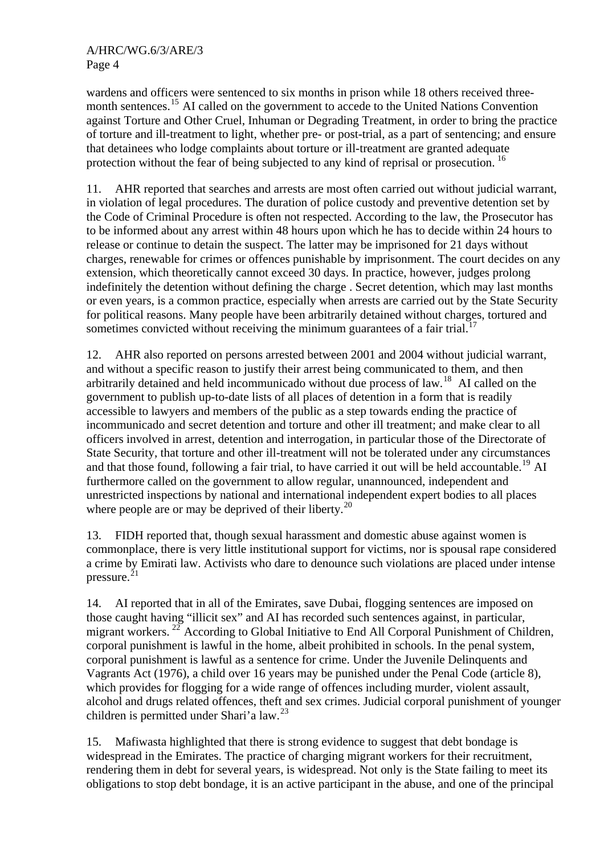wardens and officers were sentenced to six months in prison while 18 others received three-month sentences.<sup>[15](#page-11-1)</sup> AI called on the government to accede to the United Nations Convention against Torture and Other Cruel, Inhuman or Degrading Treatment, in order to bring the practice of torture and ill-treatment to light, whether pre- or post-trial, as a part of sentencing; and ensure that detainees who lodge complaints about torture or ill-treatment are granted adequate protection without the fear of being subjected to any kind of reprisal or prosecution.<sup>[16](#page-11-1)</sup>

11. AHR reported that searches and arrests are most often carried out without judicial warrant, in violation of legal procedures. The duration of police custody and preventive detention set by the Code of Criminal Procedure is often not respected. According to the law, the Prosecutor has to be informed about any arrest within 48 hours upon which he has to decide within 24 hours to release or continue to detain the suspect. The latter may be imprisoned for 21 days without charges, renewable for crimes or offences punishable by imprisonment. The court decides on any extension, which theoretically cannot exceed 30 days. In practice, however, judges prolong indefinitely the detention without defining the charge . Secret detention, which may last months or even years, is a common practice, especially when arrests are carried out by the State Security for political reasons. Many people have been arbitrarily detained without charges, tortured and sometimes convicted without receiving the minimum guarantees of a fair trial.<sup>[17](#page-11-1)</sup>

12. AHR also reported on persons arrested between 2001 and 2004 without judicial warrant, and without a specific reason to justify their arrest being communicated to them, and then arbitrarily detained and held incommunicado without due process of law.<sup>[18](#page-11-1)</sup> AI called on the government to publish up-to-date lists of all places of detention in a form that is readily accessible to lawyers and members of the public as a step towards ending the practice of incommunicado and secret detention and torture and other ill treatment; and make clear to all officers involved in arrest, detention and interrogation, in particular those of the Directorate of State Security, that torture and other ill-treatment will not be tolerated under any circumstances and that those found, following a fair trial, to have carried it out will be held accountable.<sup>[19](#page-11-1)</sup> AI furthermore called on the government to allow regular, unannounced, independent and unrestricted inspections by national and international independent expert bodies to all places where people are or may be deprived of their liberty.<sup>[20](#page-11-1)</sup>

13. FIDH reported that, though sexual harassment and domestic abuse against women is commonplace, there is very little institutional support for victims, nor is spousal rape considered a crime by Emirati law. Activists who dare to denounce such violations are placed under intense pressure.<sup>[21](#page-11-1)</sup>

14. AI reported that in all of the Emirates, save Dubai, flogging sentences are imposed on those caught having "illicit sex" and AI has recorded such sentences against, in particular, migrant workers.<sup>[22](#page-11-1)</sup> According to Global Initiative to End All Corporal Punishment of Children, corporal punishment is lawful in the home, albeit prohibited in schools. In the penal system, corporal punishment is lawful as a sentence for crime. Under the Juvenile Delinquents and Vagrants Act (1976), a child over 16 years may be punished under the Penal Code (article 8), which provides for flogging for a wide range of offences including murder, violent assault, alcohol and drugs related offences, theft and sex crimes. Judicial corporal punishment of younger children is permitted under Shari'a law.<sup>[23](#page-11-1)</sup>

15. Mafiwasta highlighted that there is strong evidence to suggest that debt bondage is widespread in the Emirates. The practice of charging migrant workers for their recruitment, rendering them in debt for several years, is widespread. Not only is the State failing to meet its obligations to stop debt bondage, it is an active participant in the abuse, and one of the principal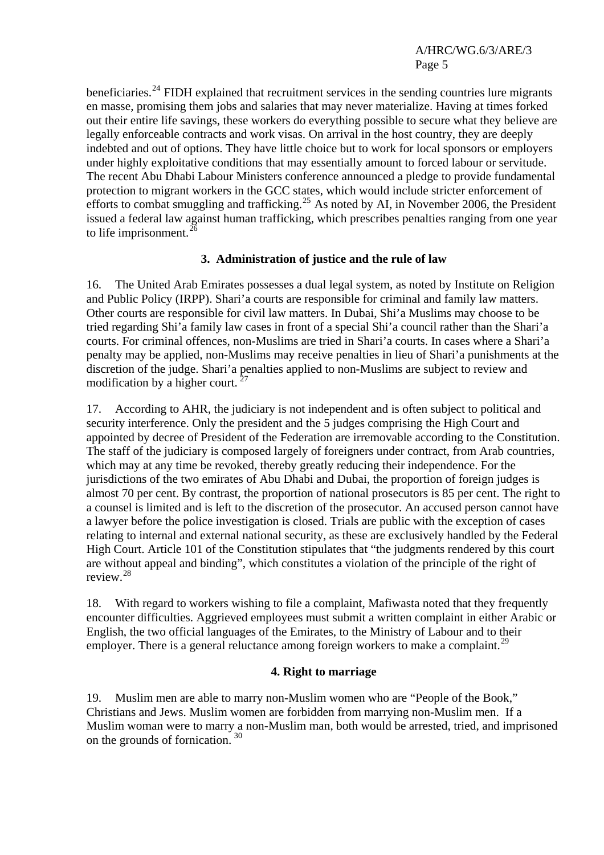beneficiaries.<sup>[24](#page-11-1)</sup> FIDH explained that recruitment services in the sending countries lure migrants en masse, promising them jobs and salaries that may never materialize. Having at times forked out their entire life savings, these workers do everything possible to secure what they believe are legally enforceable contracts and work visas. On arrival in the host country, they are deeply indebted and out of options. They have little choice but to work for local sponsors or employers under highly exploitative conditions that may essentially amount to forced labour or servitude. The recent Abu Dhabi Labour Ministers conference announced a pledge to provide fundamental protection to migrant workers in the GCC states, which would include stricter enforcement of efforts to combat smuggling and trafficking.<sup>[25](#page-11-1)</sup> As noted by AI, in November 2006, the President issued a federal law against human trafficking, which prescribes penalties ranging from one year to life imprisonment. $^{26}$  $^{26}$  $^{26}$ 

## **3. Administration of justice and the rule of law**

16. The United Arab Emirates possesses a dual legal system, as noted by Institute on Religion and Public Policy (IRPP). Shari'a courts are responsible for criminal and family law matters. Other courts are responsible for civil law matters. In Dubai, Shi'a Muslims may choose to be tried regarding Shi'a family law cases in front of a special Shi'a council rather than the Shari'a courts. For criminal offences, non-Muslims are tried in Shari'a courts. In cases where a Shari'a penalty may be applied, non-Muslims may receive penalties in lieu of Shari'a punishments at the discretion of the judge. Shari'a penalties applied to non-Muslims are subject to review and modification by a higher court.  $27$ 

17. According to AHR, the judiciary is not independent and is often subject to political and security interference. Only the president and the 5 judges comprising the High Court and appointed by decree of President of the Federation are irremovable according to the Constitution. The staff of the judiciary is composed largely of foreigners under contract, from Arab countries, which may at any time be revoked, thereby greatly reducing their independence. For the jurisdictions of the two emirates of Abu Dhabi and Dubai, the proportion of foreign judges is almost 70 per cent. By contrast, the proportion of national prosecutors is 85 per cent. The right to a counsel is limited and is left to the discretion of the prosecutor. An accused person cannot have a lawyer before the police investigation is closed. Trials are public with the exception of cases relating to internal and external national security, as these are exclusively handled by the Federal High Court. Article 101 of the Constitution stipulates that "the judgments rendered by this court are without appeal and binding", which constitutes a violation of the principle of the right of review.[28](#page-11-1)

18. With regard to workers wishing to file a complaint, Mafiwasta noted that they frequently encounter difficulties. Aggrieved employees must submit a written complaint in either Arabic or English, the two official languages of the Emirates, to the Ministry of Labour and to their employer. There is a general reluctance among foreign workers to make a complaint.<sup>[29](#page-11-1)</sup>

#### **4. Right to marriage**

19. Muslim men are able to marry non-Muslim women who are "People of the Book," Christians and Jews. Muslim women are forbidden from marrying non-Muslim men. If a Muslim woman were to marry a non-Muslim man, both would be arrested, tried, and imprisoned on the grounds of fornication. [30](#page-11-1)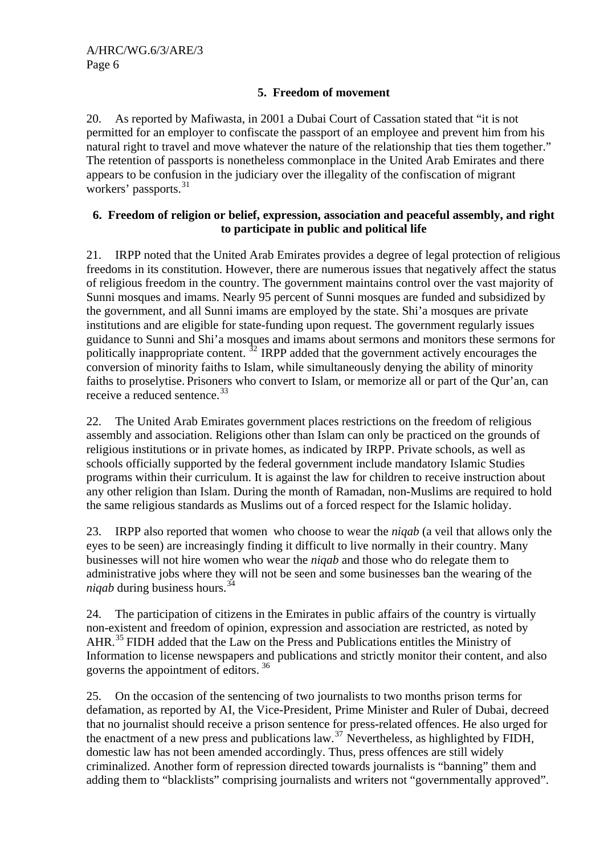## **5. Freedom of movement**

20. As reported by Mafiwasta, in 2001 a Dubai Court of Cassation stated that "it is not permitted for an employer to confiscate the passport of an employee and prevent him from his natural right to travel and move whatever the nature of the relationship that ties them together." The retention of passports is nonetheless commonplace in the United Arab Emirates and there appears to be confusion in the judiciary over the illegality of the confiscation of migrant workers' passports.<sup>[31](#page-11-1)</sup>

## **6. Freedom of religion or belief, expression, association and peaceful assembly, and right to participate in public and political life**

21. IRPP noted that the United Arab Emirates provides a degree of legal protection of religious freedoms in its constitution. However, there are numerous issues that negatively affect the status of religious freedom in the country. The government maintains control over the vast majority of Sunni mosques and imams. Nearly 95 percent of Sunni mosques are funded and subsidized by the government, and all Sunni imams are employed by the state. Shi'a mosques are private institutions and are eligible for state-funding upon request. The government regularly issues guidance to Sunni and Shi'a mosques and imams about sermons and monitors these sermons for politically inappropriate content.  $32$  IRPP added that the government actively encourages the conversion of minority faiths to Islam, while simultaneously denying the ability of minority faiths to proselytise. Prisoners who convert to Islam, or memorize all or part of the Qur'an, can receive a reduced sentence.<sup>[33](#page-11-1)</sup>

22. The United Arab Emirates government places restrictions on the freedom of religious assembly and association. Religions other than Islam can only be practiced on the grounds of religious institutions or in private homes, as indicated by IRPP. Private schools, as well as schools officially supported by the federal government include mandatory Islamic Studies programs within their curriculum. It is against the law for children to receive instruction about any other religion than Islam. During the month of Ramadan, non-Muslims are required to hold the same religious standards as Muslims out of a forced respect for the Islamic holiday.

23. IRPP also reported that women who choose to wear the *niqab* (a veil that allows only the eyes to be seen) are increasingly finding it difficult to live normally in their country. Many businesses will not hire women who wear the *niqab* and those who do relegate them to administrative jobs where they will not be seen and some businesses ban the wearing of the *niqab* during business hours.<sup>[34](#page-11-1)</sup>

24. The participation of citizens in the Emirates in public affairs of the country is virtually non-existent and freedom of opinion, expression and association are restricted, as noted by AHR.<sup>[35](#page-11-1)</sup> FIDH added that the Law on the Press and Publications entitles the Ministry of Information to license newspapers and publications and strictly monitor their content, and also governs the appointment of editors. [36](#page-11-1)

25. On the occasion of the sentencing of two journalists to two months prison terms for defamation, as reported by AI, the Vice-President, Prime Minister and Ruler of Dubai, decreed that no journalist should receive a prison sentence for press-related offences. He also urged for the enactment of a new press and publications law.<sup>[37](#page-11-1)</sup> Nevertheless, as highlighted by FIDH, domestic law has not been amended accordingly. Thus, press offences are still widely criminalized. Another form of repression directed towards journalists is "banning" them and adding them to "blacklists" comprising journalists and writers not "governmentally approved".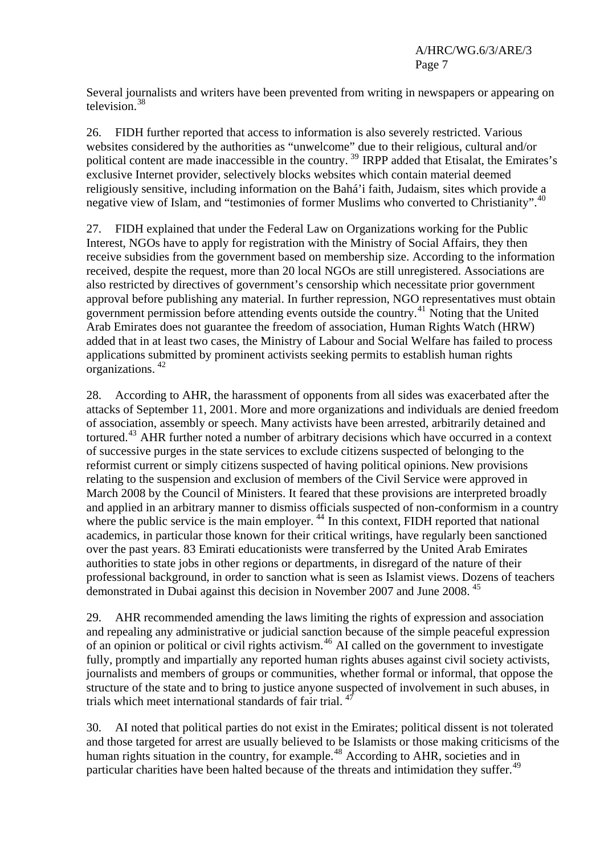Several journalists and writers have been prevented from writing in newspapers or appearing on television.<sup>[38](#page-11-1)</sup>

26. FIDH further reported that access to information is also severely restricted. Various websites considered by the authorities as "unwelcome" due to their religious, cultural and/or political content are made inaccessible in the country.<sup>[39](#page-11-1)</sup> IRPP added that Etisalat, the Emirates's exclusive Internet provider, selectively blocks websites which contain material deemed religiously sensitive, including information on the Bahá'i faith, Judaism, sites which provide a negative view of Islam, and "testimonies of former Muslims who converted to Christianity".<sup>[40](#page-11-1)</sup>

27. FIDH explained that under the Federal Law on Organizations working for the Public Interest, NGOs have to apply for registration with the Ministry of Social Affairs, they then receive subsidies from the government based on membership size. According to the information received, despite the request, more than 20 local NGOs are still unregistered. Associations are also restricted by directives of government's censorship which necessitate prior government approval before publishing any material. In further repression, NGO representatives must obtain government permission before attending events outside the country.[41](#page-11-1) Noting that the United Arab Emirates does not guarantee the freedom of association, Human Rights Watch (HRW) added that in at least two cases, the Ministry of Labour and Social Welfare has failed to process applications submitted by prominent activists seeking permits to establish human rights organizations. [42](#page-11-1)

28. According to AHR, the harassment of opponents from all sides was exacerbated after the attacks of September 11, 2001. More and more organizations and individuals are denied freedom of association, assembly or speech. Many activists have been arrested, arbitrarily detained and tortured.<sup>[43](#page-11-1)</sup> AHR further noted a number of arbitrary decisions which have occurred in a context of successive purges in the state services to exclude citizens suspected of belonging to the reformist current or simply citizens suspected of having political opinions. New provisions relating to the suspension and exclusion of members of the Civil Service were approved in March 2008 by the Council of Ministers. It feared that these provisions are interpreted broadly and applied in an arbitrary manner to dismiss officials suspected of non-conformism in a country where the public service is the main employer.<sup>[44](#page-11-1)</sup> In this context, FIDH reported that national academics, in particular those known for their critical writings, have regularly been sanctioned over the past years. 83 Emirati educationists were transferred by the United Arab Emirates authorities to state jobs in other regions or departments, in disregard of the nature of their professional background, in order to sanction what is seen as Islamist views. Dozens of teachers demonstrated in Dubai against this decision in November 2007 and June 2008.<sup>[45](#page-11-1)</sup>

29. AHR recommended amending the laws limiting the rights of expression and association and repealing any administrative or judicial sanction because of the simple peaceful expression of an opinion or political or civil rights activism.<sup>[46](#page-11-1)</sup> AI called on the government to investigate fully, promptly and impartially any reported human rights abuses against civil society activists, journalists and members of groups or communities, whether formal or informal, that oppose the structure of the state and to bring to justice anyone suspected of involvement in such abuses, in trials which meet international standards of fair trial.  $47$ 

30. AI noted that political parties do not exist in the Emirates; political dissent is not tolerated and those targeted for arrest are usually believed to be Islamists or those making criticisms of the human rights situation in the country, for example.<sup>[48](#page-11-1)</sup> According to AHR, societies and in particular charities have been halted because of the threats and intimidation they suffer.<sup>[49](#page-11-1)</sup>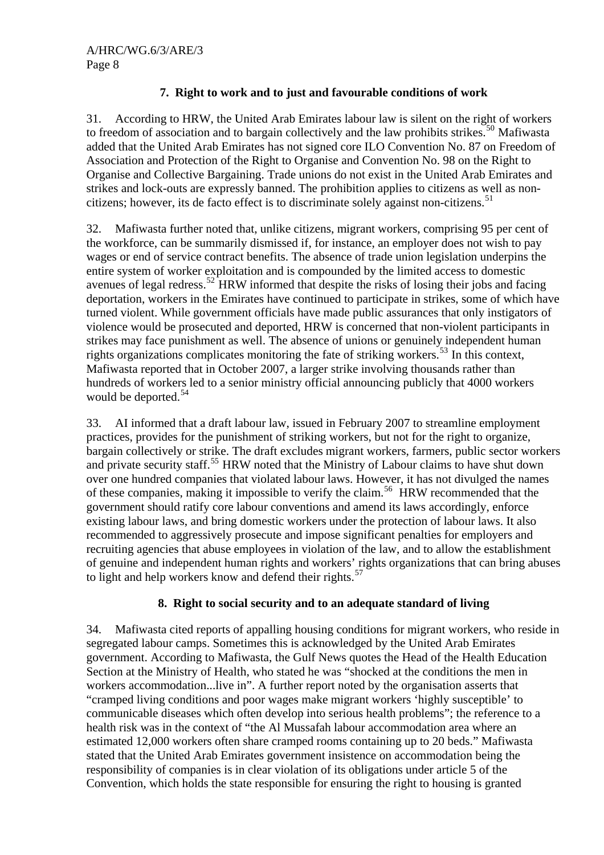# **7. Right to work and to just and favourable conditions of work**

31. According to HRW, the United Arab Emirates labour law is silent on the right of workers to freedom of association and to bargain collectively and the law prohibits strikes.<sup>[50](#page-11-1)</sup> Mafiwasta added that the United Arab Emirates has not signed core ILO Convention No. 87 on Freedom of Association and Protection of the Right to Organise and Convention No. 98 on the Right to Organise and Collective Bargaining. Trade unions do not exist in the United Arab Emirates and strikes and lock-outs are expressly banned. The prohibition applies to citizens as well as non-citizens; however, its de facto effect is to discriminate solely against non-citizens.<sup>[51](#page-11-1)</sup>

32. Mafiwasta further noted that, unlike citizens, migrant workers, comprising 95 per cent of the workforce, can be summarily dismissed if, for instance, an employer does not wish to pay wages or end of service contract benefits. The absence of trade union legislation underpins the entire system of worker exploitation and is compounded by the limited access to domestic avenues of legal redress.<sup>[52](#page-11-1)</sup> HRW informed that despite the risks of losing their jobs and facing deportation, workers in the Emirates have continued to participate in strikes, some of which have turned violent. While government officials have made public assurances that only instigators of violence would be prosecuted and deported, HRW is concerned that non-violent participants in strikes may face punishment as well. The absence of unions or genuinely independent human rights organizations complicates monitoring the fate of striking workers.<sup>[53](#page-11-1)</sup> In this context, Mafiwasta reported that in October 2007, a larger strike involving thousands rather than hundreds of workers led to a senior ministry official announcing publicly that 4000 workers would be deported. $54$ 

33. AI informed that a draft labour law, issued in February 2007 to streamline employment practices, provides for the punishment of striking workers, but not for the right to organize, bargain collectively or strike. The draft excludes migrant workers, farmers, public sector workers and private security staff.<sup>[55](#page-11-1)</sup> HRW noted that the Ministry of Labour claims to have shut down over one hundred companies that violated labour laws. However, it has not divulged the names of these companies, making it impossible to verify the claim.<sup>[56](#page-11-1)</sup> HRW recommended that the government should ratify core labour conventions and amend its laws accordingly, enforce existing labour laws, and bring domestic workers under the protection of labour laws. It also recommended to aggressively prosecute and impose significant penalties for employers and recruiting agencies that abuse employees in violation of the law, and to allow the establishment of genuine and independent human rights and workers' rights organizations that can bring abuses to light and help workers know and defend their rights.<sup>[57](#page-11-1)</sup>

## **8. Right to social security and to an adequate standard of living**

34. Mafiwasta cited reports of appalling housing conditions for migrant workers, who reside in segregated labour camps. Sometimes this is acknowledged by the United Arab Emirates government. According to Mafiwasta, the Gulf News quotes the Head of the Health Education Section at the Ministry of Health, who stated he was "shocked at the conditions the men in workers accommodation...live in". A further report noted by the organisation asserts that "cramped living conditions and poor wages make migrant workers 'highly susceptible' to communicable diseases which often develop into serious health problems"; the reference to a health risk was in the context of "the Al Mussafah labour accommodation area where an estimated 12,000 workers often share cramped rooms containing up to 20 beds." Mafiwasta stated that the United Arab Emirates government insistence on accommodation being the responsibility of companies is in clear violation of its obligations under article 5 of the Convention, which holds the state responsible for ensuring the right to housing is granted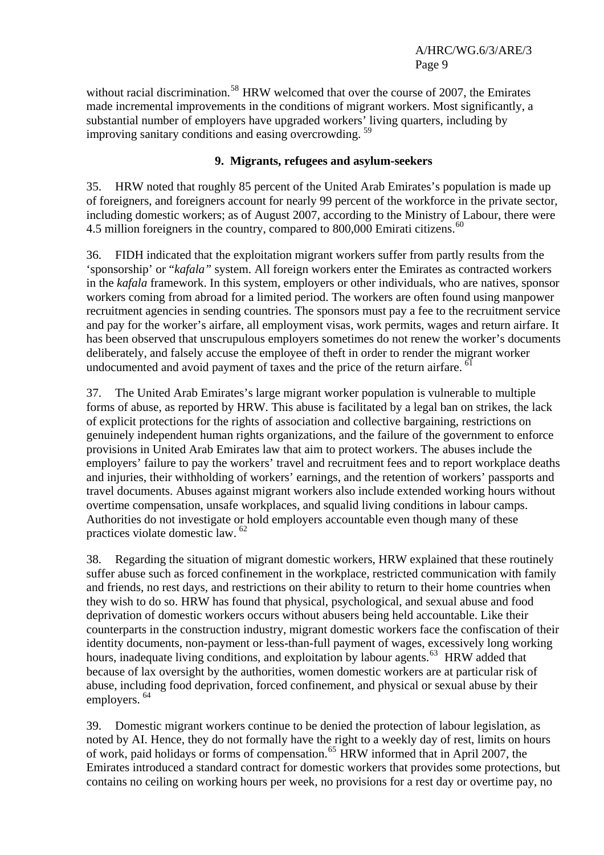without racial discrimination.<sup>[58](#page-11-1)</sup> HRW welcomed that over the course of 2007, the Emirates made incremental improvements in the conditions of migrant workers. Most significantly, a substantial number of employers have upgraded workers' living quarters, including by improving sanitary conditions and easing overcrowding.<sup>[59](#page-11-1)</sup>

# **9. Migrants, refugees and asylum-seekers**

35. HRW noted that roughly 85 percent of the United Arab Emirates's population is made up of foreigners, and foreigners account for nearly 99 percent of the workforce in the private sector, including domestic workers; as of August 2007, according to the Ministry of Labour, there were 4.5 million foreigners in the country, compared to  $800,000$  Emirati citizens.<sup>[60](#page-11-1)</sup>

36. FIDH indicated that the exploitation migrant workers suffer from partly results from the 'sponsorship' or "*kafala"* system. All foreign workers enter the Emirates as contracted workers in the *kafala* framework. In this system, employers or other individuals, who are natives, sponsor workers coming from abroad for a limited period. The workers are often found using manpower recruitment agencies in sending countries. The sponsors must pay a fee to the recruitment service and pay for the worker's airfare, all employment visas, work permits, wages and return airfare. It has been observed that unscrupulous employers sometimes do not renew the worker's documents deliberately, and falsely accuse the employee of theft in order to render the migrant worker undocumented and avoid payment of taxes and the price of the return airfare.  $61$ 

37. The United Arab Emirates's large migrant worker population is vulnerable to multiple forms of abuse, as reported by HRW. This abuse is facilitated by a legal ban on strikes, the lack of explicit protections for the rights of association and collective bargaining, restrictions on genuinely independent human rights organizations, and the failure of the government to enforce provisions in United Arab Emirates law that aim to protect workers. The abuses include the employers' failure to pay the workers' travel and recruitment fees and to report workplace deaths and injuries, their withholding of workers' earnings, and the retention of workers' passports and travel documents. Abuses against migrant workers also include extended working hours without overtime compensation, unsafe workplaces, and squalid living conditions in labour camps. Authorities do not investigate or hold employers accountable even though many of these practices violate domestic law. [62](#page-11-1)

38. Regarding the situation of migrant domestic workers, HRW explained that these routinely suffer abuse such as forced confinement in the workplace, restricted communication with family and friends, no rest days, and restrictions on their ability to return to their home countries when they wish to do so. HRW has found that physical, psychological, and sexual abuse and food deprivation of domestic workers occurs without abusers being held accountable. Like their counterparts in the construction industry, migrant domestic workers face the confiscation of their identity documents, non-payment or less-than-full payment of wages, excessively long working hours, inadequate living conditions, and exploitation by labour agents.<sup>[63](#page-11-1)</sup> HRW added that because of lax oversight by the authorities, women domestic workers are at particular risk of abuse, including food deprivation, forced confinement, and physical or sexual abuse by their employers.<sup>[64](#page-11-1)</sup>

39. Domestic migrant workers continue to be denied the protection of labour legislation, as noted by AI. Hence, they do not formally have the right to a weekly day of rest, limits on hours of work, paid holidays or forms of compensation.[65](#page-11-1) HRW informed that in April 2007, the Emirates introduced a standard contract for domestic workers that provides some protections, but contains no ceiling on working hours per week, no provisions for a rest day or overtime pay, no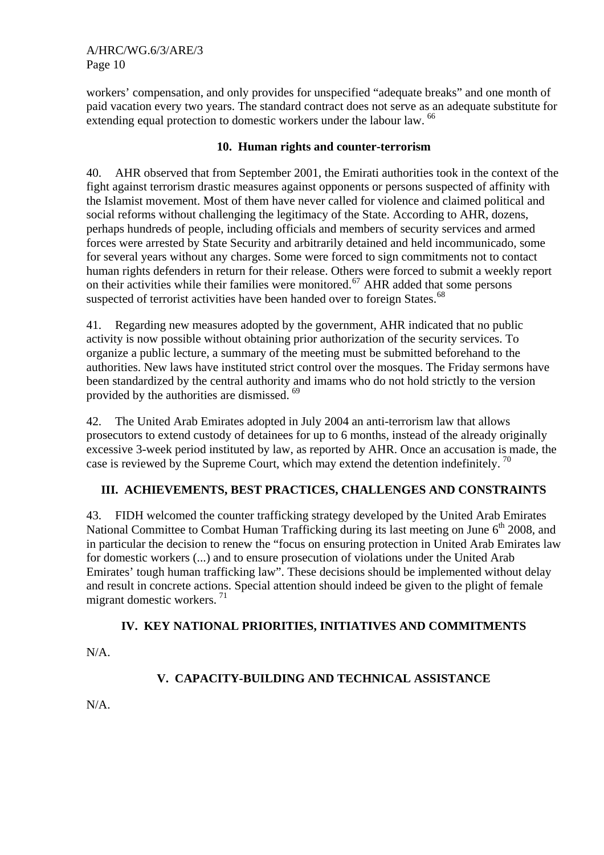A/HRC/WG.6/3/ARE/3 Page 10

workers' compensation, and only provides for unspecified "adequate breaks" and one month of paid vacation every two years. The standard contract does not serve as an adequate substitute for extending equal protection to domestic workers under the labour law. <sup>[66](#page-11-1)</sup>

## **10. Human rights and counter-terrorism**

40. AHR observed that from September 2001, the Emirati authorities took in the context of the fight against terrorism drastic measures against opponents or persons suspected of affinity with the Islamist movement. Most of them have never called for violence and claimed political and social reforms without challenging the legitimacy of the State. According to AHR, dozens, perhaps hundreds of people, including officials and members of security services and armed forces were arrested by State Security and arbitrarily detained and held incommunicado, some for several years without any charges. Some were forced to sign commitments not to contact human rights defenders in return for their release. Others were forced to submit a weekly report on their activities while their families were monitored.<sup>[67](#page-11-1)</sup> AHR added that some persons suspected of terrorist activities have been handed over to foreign States.<sup>[68](#page-11-1)</sup>

41. Regarding new measures adopted by the government, AHR indicated that no public activity is now possible without obtaining prior authorization of the security services. To organize a public lecture, a summary of the meeting must be submitted beforehand to the authorities. New laws have instituted strict control over the mosques. The Friday sermons have been standardized by the central authority and imams who do not hold strictly to the version provided by the authorities are dismissed. <sup>[69](#page-11-1)</sup>

42. The United Arab Emirates adopted in July 2004 an anti-terrorism law that allows prosecutors to extend custody of detainees for up to 6 months, instead of the already originally excessive 3-week period instituted by law, as reported by AHR. Once an accusation is made, the case is reviewed by the Supreme Court, which may extend the detention indefinitely.<sup>[70](#page-11-1)</sup>

# **III. ACHIEVEMENTS, BEST PRACTICES, CHALLENGES AND CONSTRAINTS**

43. FIDH welcomed the counter trafficking strategy developed by the United Arab Emirates National Committee to Combat Human Trafficking during its last meeting on June  $6<sup>th</sup>$  2008, and in particular the decision to renew the "focus on ensuring protection in United Arab Emirates law for domestic workers (...) and to ensure prosecution of violations under the United Arab Emirates' tough human trafficking law". These decisions should be implemented without delay and result in concrete actions. Special attention should indeed be given to the plight of female migrant domestic workers.  $71$ 

## **IV. KEY NATIONAL PRIORITIES, INITIATIVES AND COMMITMENTS**

N/A.

# **V. CAPACITY-BUILDING AND TECHNICAL ASSISTANCE**

N/A.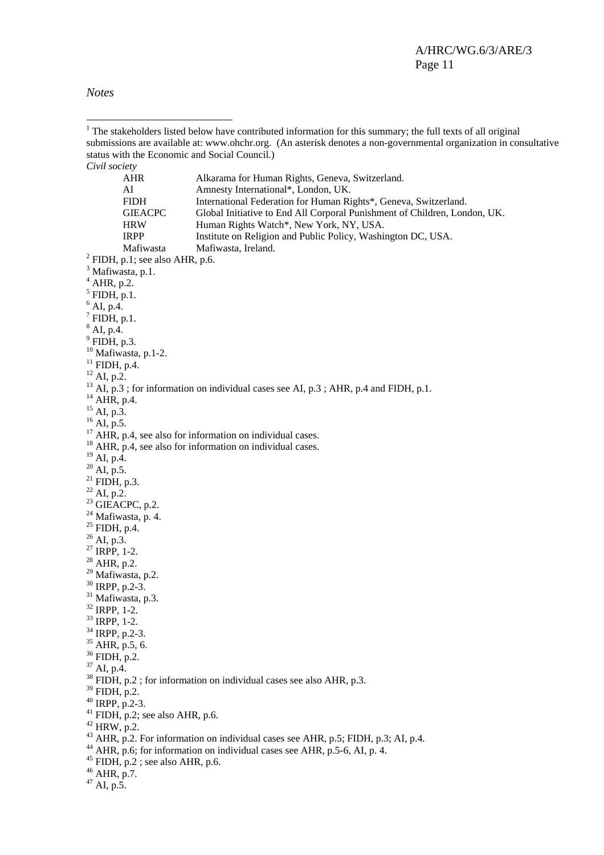*Notes* 

 $\overline{a}$ 

<sup>1</sup> The stakeholders listed below have contributed information for this summary; the full texts of all original submissions are available at: [www.ohchr.org](http://www.ohchr.org/). (An asterisk denotes a non-governmental organization in consultative status with the Economic and Social Council.) *Civil society*  AHR Alkarama for Human Rights, Geneva, Switzerland. AI Amnesty International\*, London, UK. FIDH International Federation for Human Rights\*, Geneva, Switzerland. GIEACPC Global Initiative to End All Corporal Punishment of Children, London, UK. HRW Human Rights Watch\*, New York, NY, USA. IRPP Institute on Religion and Public Policy, Washington DC, USA. Mafiwasta Mafiwasta, Ireland.<br><sup>2</sup> FIDH, p.1; see also AHR, p.6. <sup>3</sup> Mafiwasta, p.1.  $<sup>4</sup>$  AHR, p.2.</sup>  $<sup>5</sup>$  FIDH, p.1.</sup>  $^{6}$  AI, p.4.  $^7$  FIDH, p.1.  $^8$  AI, p.4. 9 FIDH, p.3.  $10$  Mafiwasta, p.1-2.  $11$  FIDH, p.4.  $12$  AI, p.2.  $^{13}$  AI, p.3; for information on individual cases see AI, p.3; AHR, p.4 and FIDH, p.1. <sup>14</sup> AHR, p.4.  $^{15}$  AI, p.3.  $^{16}$  AI, p.5.  $17$  AHR, p.4, see also for information on individual cases. <sup>18</sup> AHR, p.4, see also for information on individual cases. <sup>19</sup> AI, p.4.  $^{20}$  AI, p.5.  $21$  FIDH, p.3.  $22$  AI, p.2.  $23$  GIEACPC, p.2.  $24$  Mafiwasta, p. 4. 25 FIDH, p.4.  $^{26}$  AI, p.3.  $27$  IRPP, 1-2.  $28$  AHR, p.2. <sup>29</sup> Mafiwasta, p.2. 30 IRPP, p.2-3. <sup>31</sup> Mafiwasta, p.3. 32 IRPP, 1-2. 33 IRPP, 1-2. 34 IRPP, p.2-3. 35 AHR, p.5, 6. 36 FIDH, p.2. <sup>37</sup> AI, p.4.  $38$  FIDH, p.2; for information on individual cases see also AHR, p.3. 39 FIDH, p.2.  $40$  IRPP, p.2-3.  $41$  FIDH, p.2; see also AHR, p.6.  $42$  HRW, p.2. <sup>43</sup> AHR, p.2. For information on individual cases see AHR, p.5; FIDH, p.3; AI, p.4.  $^{44}$  AHR, p.6; for information on individual cases see AHR, p.5-6, AI, p. 4.  $45$  FIDH, p.2 ; see also AHR, p.6. 46 AHR, p.7.  $47$  AI, p.5.